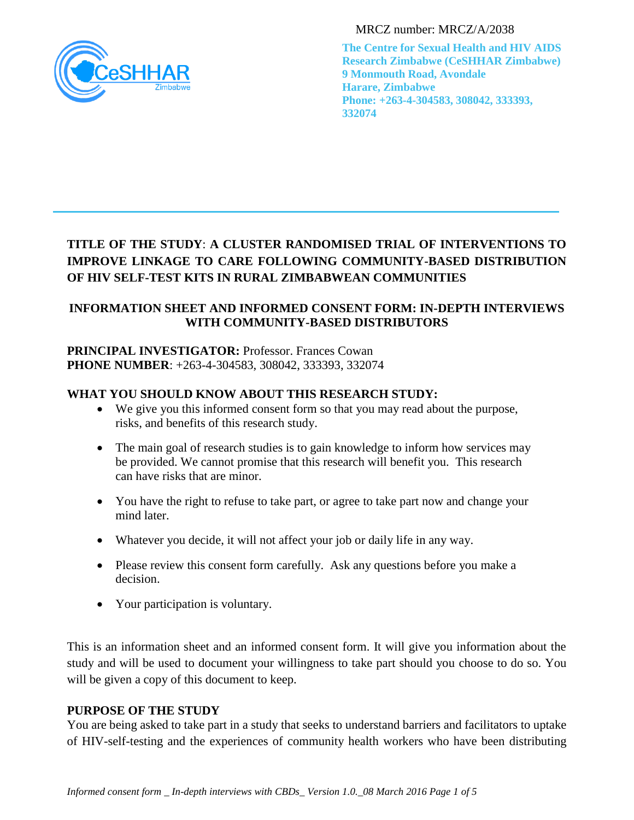

MRCZ number: MRCZ/A/2038

**The Centre for Sexual Health and HIV AIDS Research Zimbabwe (CeSHHAR Zimbabwe) 9 Monmouth Road, Avondale Harare, Zimbabwe Phone: +263-4-304583, 308042, 333393, 332074**

# **TITLE OF THE STUDY**: **A CLUSTER RANDOMISED TRIAL OF INTERVENTIONS TO IMPROVE LINKAGE TO CARE FOLLOWING COMMUNITY-BASED DISTRIBUTION OF HIV SELF-TEST KITS IN RURAL ZIMBABWEAN COMMUNITIES**

# **INFORMATION SHEET AND INFORMED CONSENT FORM: IN-DEPTH INTERVIEWS WITH COMMUNITY-BASED DISTRIBUTORS**

# **PRINCIPAL INVESTIGATOR: Professor. Frances Cowan PHONE NUMBER**: +263-4-304583, 308042, 333393, 332074

# **WHAT YOU SHOULD KNOW ABOUT THIS RESEARCH STUDY:**

- We give you this informed consent form so that you may read about the purpose, risks, and benefits of this research study.
- The main goal of research studies is to gain knowledge to inform how services may be provided. We cannot promise that this research will benefit you. This research can have risks that are minor.
- You have the right to refuse to take part, or agree to take part now and change your mind later.
- Whatever you decide, it will not affect your job or daily life in any way.
- Please review this consent form carefully. Ask any questions before you make a decision.
- Your participation is voluntary.

This is an information sheet and an informed consent form. It will give you information about the study and will be used to document your willingness to take part should you choose to do so. You will be given a copy of this document to keep.

# **PURPOSE OF THE STUDY**

You are being asked to take part in a study that seeks to understand barriers and facilitators to uptake of HIV-self-testing and the experiences of community health workers who have been distributing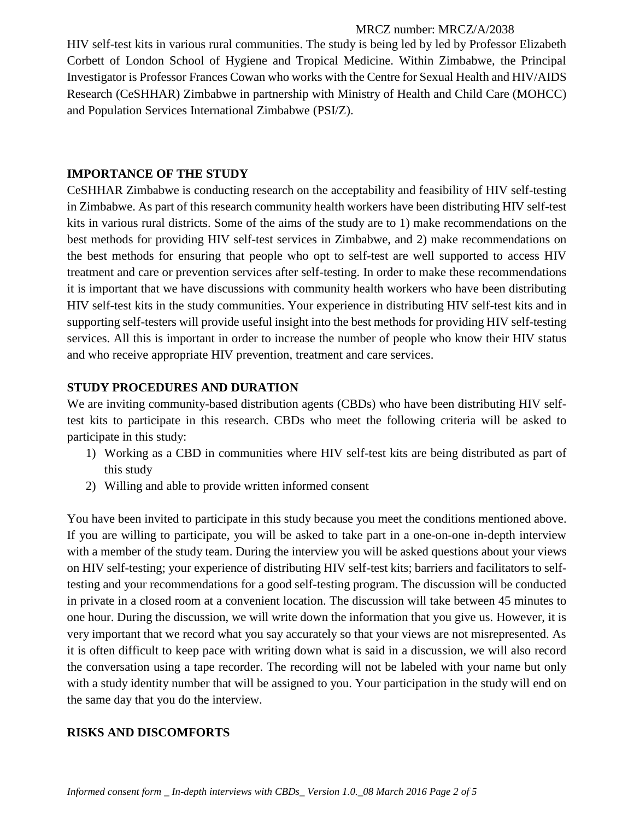#### MRCZ number: MRCZ/A/2038

HIV self-test kits in various rural communities. The study is being led by led by Professor Elizabeth Corbett of London School of Hygiene and Tropical Medicine. Within Zimbabwe, the Principal Investigator is Professor Frances Cowan who works with the Centre for Sexual Health and HIV/AIDS Research (CeSHHAR) Zimbabwe in partnership with Ministry of Health and Child Care (MOHCC) and Population Services International Zimbabwe (PSI/Z).

### **IMPORTANCE OF THE STUDY**

CeSHHAR Zimbabwe is conducting research on the acceptability and feasibility of HIV self-testing in Zimbabwe. As part of this research community health workers have been distributing HIV self-test kits in various rural districts. Some of the aims of the study are to 1) make recommendations on the best methods for providing HIV self-test services in Zimbabwe, and 2) make recommendations on the best methods for ensuring that people who opt to self-test are well supported to access HIV treatment and care or prevention services after self-testing. In order to make these recommendations it is important that we have discussions with community health workers who have been distributing HIV self-test kits in the study communities. Your experience in distributing HIV self-test kits and in supporting self-testers will provide useful insight into the best methods for providing HIV self-testing services. All this is important in order to increase the number of people who know their HIV status and who receive appropriate HIV prevention, treatment and care services.

### **STUDY PROCEDURES AND DURATION**

We are inviting community-based distribution agents (CBDs) who have been distributing HIV selftest kits to participate in this research. CBDs who meet the following criteria will be asked to participate in this study:

- 1) Working as a CBD in communities where HIV self-test kits are being distributed as part of this study
- 2) Willing and able to provide written informed consent

You have been invited to participate in this study because you meet the conditions mentioned above. If you are willing to participate, you will be asked to take part in a one-on-one in-depth interview with a member of the study team. During the interview you will be asked questions about your views on HIV self-testing; your experience of distributing HIV self-test kits; barriers and facilitators to selftesting and your recommendations for a good self-testing program. The discussion will be conducted in private in a closed room at a convenient location. The discussion will take between 45 minutes to one hour. During the discussion, we will write down the information that you give us. However, it is very important that we record what you say accurately so that your views are not misrepresented. As it is often difficult to keep pace with writing down what is said in a discussion, we will also record the conversation using a tape recorder. The recording will not be labeled with your name but only with a study identity number that will be assigned to you. Your participation in the study will end on the same day that you do the interview.

### **RISKS AND DISCOMFORTS**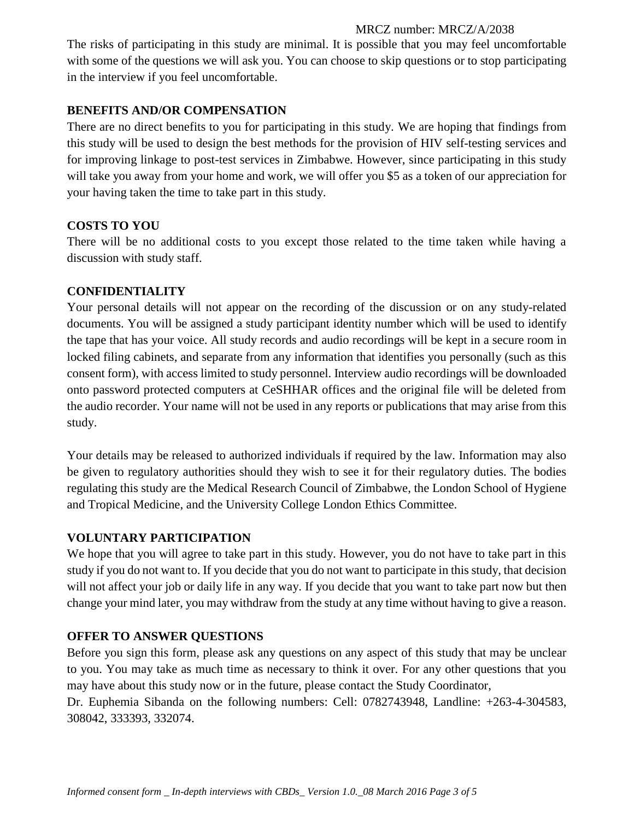#### MRCZ number: MRCZ/A/2038

The risks of participating in this study are minimal. It is possible that you may feel uncomfortable with some of the questions we will ask you. You can choose to skip questions or to stop participating in the interview if you feel uncomfortable.

### **BENEFITS AND/OR COMPENSATION**

There are no direct benefits to you for participating in this study. We are hoping that findings from this study will be used to design the best methods for the provision of HIV self-testing services and for improving linkage to post-test services in Zimbabwe. However, since participating in this study will take you away from your home and work, we will offer you \$5 as a token of our appreciation for your having taken the time to take part in this study.

### **COSTS TO YOU**

There will be no additional costs to you except those related to the time taken while having a discussion with study staff.

### **CONFIDENTIALITY**

Your personal details will not appear on the recording of the discussion or on any study-related documents. You will be assigned a study participant identity number which will be used to identify the tape that has your voice. All study records and audio recordings will be kept in a secure room in locked filing cabinets, and separate from any information that identifies you personally (such as this consent form), with access limited to study personnel. Interview audio recordings will be downloaded onto password protected computers at CeSHHAR offices and the original file will be deleted from the audio recorder. Your name will not be used in any reports or publications that may arise from this study.

Your details may be released to authorized individuals if required by the law. Information may also be given to regulatory authorities should they wish to see it for their regulatory duties. The bodies regulating this study are the Medical Research Council of Zimbabwe, the London School of Hygiene and Tropical Medicine, and the University College London Ethics Committee.

# **VOLUNTARY PARTICIPATION**

We hope that you will agree to take part in this study. However, you do not have to take part in this study if you do not want to. If you decide that you do not want to participate in this study, that decision will not affect your job or daily life in any way. If you decide that you want to take part now but then change your mind later, you may withdraw from the study at any time without having to give a reason.

# **OFFER TO ANSWER QUESTIONS**

Before you sign this form, please ask any questions on any aspect of this study that may be unclear to you. You may take as much time as necessary to think it over. For any other questions that you may have about this study now or in the future, please contact the Study Coordinator, Dr. Euphemia Sibanda on the following numbers: Cell: 0782743948, Landline: +263-4-304583, 308042, 333393, 332074.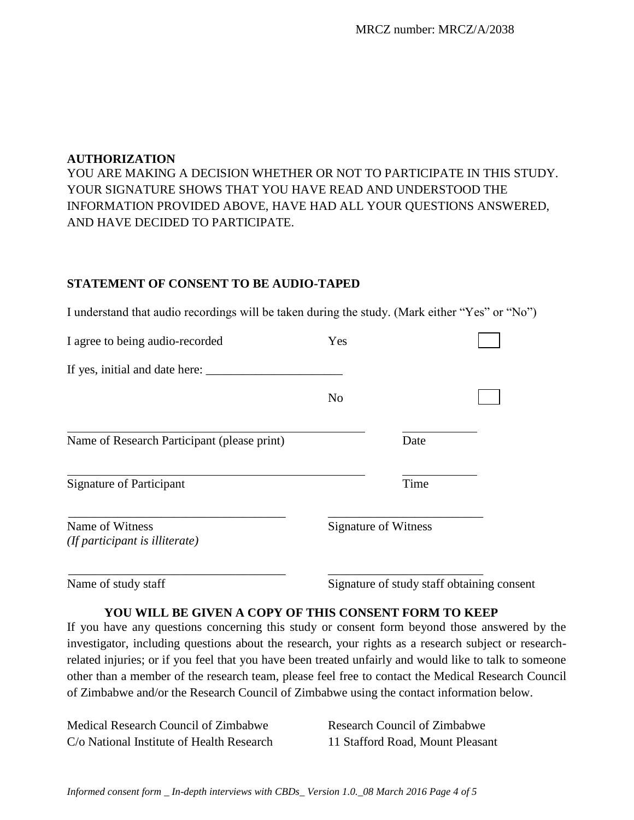#### **AUTHORIZATION**

YOU ARE MAKING A DECISION WHETHER OR NOT TO PARTICIPATE IN THIS STUDY. YOUR SIGNATURE SHOWS THAT YOU HAVE READ AND UNDERSTOOD THE INFORMATION PROVIDED ABOVE, HAVE HAD ALL YOUR QUESTIONS ANSWERED, AND HAVE DECIDED TO PARTICIPATE.

#### **STATEMENT OF CONSENT TO BE AUDIO-TAPED**

I understand that audio recordings will be taken during the study. (Mark either "Yes" or "No")

| I agree to being audio-recorded                   | Yes                         |      |  |
|---------------------------------------------------|-----------------------------|------|--|
| If yes, initial and date here:                    |                             |      |  |
|                                                   | N <sub>o</sub>              |      |  |
| Name of Research Participant (please print)       |                             | Date |  |
| <b>Signature of Participant</b>                   |                             | Time |  |
| Name of Witness<br>(If participant is illiterate) | <b>Signature of Witness</b> |      |  |
|                                                   |                             |      |  |

Name of study staff Signature of study staff obtaining consent

#### **YOU WILL BE GIVEN A COPY OF THIS CONSENT FORM TO KEEP**

If you have any questions concerning this study or consent form beyond those answered by the investigator, including questions about the research, your rights as a research subject or researchrelated injuries; or if you feel that you have been treated unfairly and would like to talk to someone other than a member of the research team, please feel free to contact the Medical Research Council of Zimbabwe and/or the Research Council of Zimbabwe using the contact information below.

Medical Research Council of Zimbabwe Research Council of Zimbabwe C/o National Institute of Health Research 11 Stafford Road, Mount Pleasant